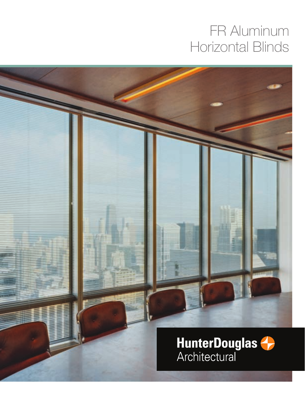# FR Aluminum Horizontal Blinds

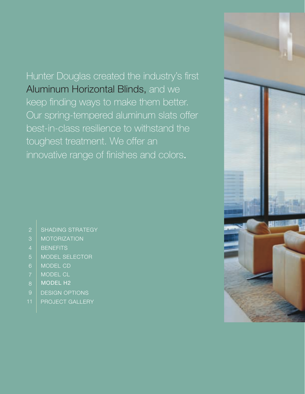# Hunter Douglas created the industry's first Aluminum Horizontal Blinds, and we keep finding ways to make them better. Our spring-tempered aluminum slats offer best-in-class resilience to withstand the toughest treatment. We offer an innovative range of finishes and colors.

### 2 | SHADING STRATEGY

- 3 | MOTORIZATION
- 4 | BENEFITS
- 5 | MODEL SELECTOR
- 6 Model CD
- ModEl cl
- 8 MODEL H2
- **DESIGN OPTIONS**
- PROJECT GALLERY

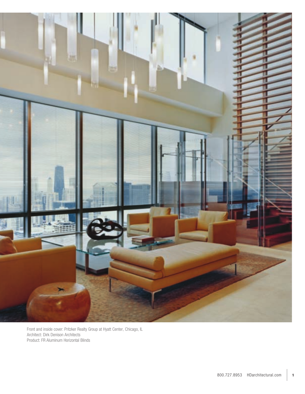

Front and inside cover: Pritzker Realty Group at Hyatt Center, Chicago, IL Architect: Dirk Denison Architects Product: FR Aluminum Horizontal Blinds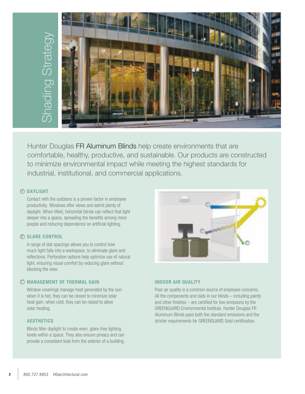

Hunter Douglas FR Aluminum Blinds help create environments that are comfortable, healthy, productive, and sustainable. Our products are constructed to minimize environmental impact while meeting the highest standards for

### **DAYLIGHT** A

Contact with the outdoors is a proven factor in employee productivity. Windows offer views and admit plenty of daylight. When tilted, horizontal blinds can reflect that light deeper into a space, spreading the benefits among more people and reducing dependence on artificial lighting.

### **GLARE CONTROL** B

A range of slat spacings allows you to control how much light falls into a workspace, to eliminate glare and reflections. Perforation options help optimize use of natural light, ensuring visual comfort by reducing glare without blocking the view.

### **MANAGEMENT OF THERMAL GAIN** C

Window coverings manage heat generated by the sun: when it is hot, they can be closed to minimize solar heat gain; when cold, they can be raised to allow solar heating.

### **AESTHETICS**

Blinds filter daylight to create even, glare-free lighting levels within a space. They also ensure privacy and can provide a consistent look from the exterior of a building.



### **INDOOR AIR QUALITY**

Poor air quality is a common source of employee concerns. All the components and slats in our blinds – including paints and other finishes – are certified for low emissions by the GREENGUARD Environmental Institute. Hunter Douglas FR Aluminum Blinds pass both the standard emissions and the stricter requirements for GREENGUARD Gold certification.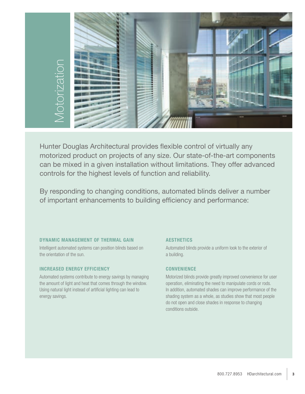

Hunter Douglas Architectural provides flexible control of virtually any motorized product on projects of any size. Our state-of-the-art components can be mixed in a given installation without limitations. They offer advanced controls for the highest levels of function and reliability.

By responding to changing conditions, automated blinds deliver a number

### **DYNAMIC MANAGEMENT OF THERMAL GAIN**

Intelligent automated systems can position blinds based on the orientation of the sun.

### **INCREASED ENERGY EFFICIENCY**

Automated systems contribute to energy savings by managing the amount of light and heat that comes through the window. Using natural light instead of artificial lighting can lead to energy savings.

### **AESTHETICS**

Automated blinds provide a uniform look to the exterior of a building.

### **CONvENIENCE**

Motorized blinds provide greatly improved convenience for user operation, eliminating the need to manipulate cords or rods. In addition, automated shades can improve performance of the shading system as a whole, as studies show that most people do not open and close shades in response to changing conditions outside.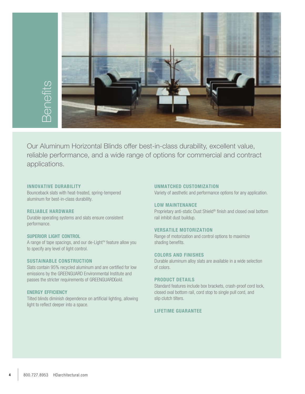

Our Aluminum Horizontal Blinds offer best-in-class durability, excellent value, reliable performance, and a wide range of options for commercial and contract sections.<br>
applications.<br>
applications.

#### **INNOvATIvE DURAbILITY**

Bounceback slats with heat-treated, spring-tempered aluminum for best-in-class durability.

#### **RELIAbLE HARDwARE**

Durable operating systems and slats ensure consistent performance.

### **SUpERIOR LIGHT CONTROL**

A range of tape spacings, and our de-Light™ feature allow you to specify any level of light control.

#### **SUSTAINAbLE CONSTRUCTION**

Slats contain 95% recycled aluminum and are certified for low emissions by the GREENGUARD Environmental Institute and passes the stricter requirements of GREENGUARDGold.

#### **ENERGY EFFICIENCY**

Tilted blinds diminish dependence on artificial lighting, allowing light to reflect deeper into a space.

#### **UNMATCHED CUSTOMIZATION**

Variety of aesthetic and performance options for any application.

### **Low maintenance**

Proprietary anti-static Dust Shield® finish and closed oval bottom rail inhibit dust buildup.

### **Versatile Motorization**

Range of motorization and control options to maximize shading benefits.

#### **colors**

Durable aluminum alloy slats are available in a wide selection of colors.

### **Product Details**

Standard features include box brackets, crash-proof cord lock, closed oval bottom rail, cord stop to single pull cord, and slip clutch tilters.

### **lifetime GUARANTEE**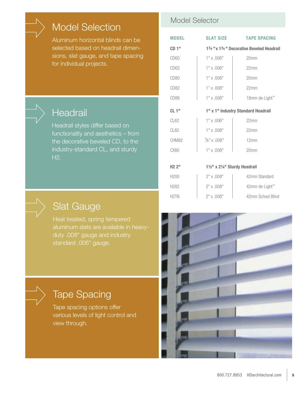## Model Selection

Aluminum horizontal blinds can be selected based on headrail dimensions, slat gauge, and tape spacing for individual projects.

## **Headrail**

Headrail styles differ based on functionality and aesthetics – from the decorative beveled CD, to the industry-standard CL, and sturdy H2.

### Model Selector

| <b>MODEL</b>       | <b>SLAT SIZE</b>              | <b>TAPE SPACING</b>                    |  |  |
|--------------------|-------------------------------|----------------------------------------|--|--|
| CD1"               |                               | 1% "x 1% " Decorative Beveled Headrail |  |  |
| CD <sub>60</sub>   | $1" \times .006"$             | 20 <sub>mm</sub>                       |  |  |
| CD <sub>62</sub>   | $1" \times .006"$             | 22mm                                   |  |  |
| CD <sub>80</sub>   | $1"$ x .008"                  | 20 <sub>mm</sub>                       |  |  |
| CD <sub>82</sub>   | $1" \times .008"$             | 22mm                                   |  |  |
| CD88               | $1"$ x .008"                  | 18mm de-Light™                         |  |  |
| CL1"               |                               | 1" x 1" Industry Standard Headrail     |  |  |
| CL62               | $1"$ x .006"                  | 22mm                                   |  |  |
| CL82               | $1"$ x .008"                  | 22mm                                   |  |  |
| CHM82              | $\frac{5}{8}$ " x .008"       | 12mm                                   |  |  |
| CX80               | $1"$ x .008"                  | 20 <sub>mm</sub>                       |  |  |
|                    |                               |                                        |  |  |
| H2 2 <sup>II</sup> | 11/2" x 21/4" Sturdy Headrail |                                        |  |  |
| H <sub>200</sub>   | $2"$ x .008"                  | 42mm Standard                          |  |  |
| H282               | $2"$ x .008"                  | 42mm de-Light™                         |  |  |
| H <sub>2</sub> TN  | $2"$ x .008"                  | 42mm School Blind                      |  |  |

## Slat Gauge

Heat treated, spring tempered aluminum slats are available in heavyduty .008" gauge and industry standard .006" gauge.

## Tape Spacing

Tape spacing options offer various levels of light control and view through.

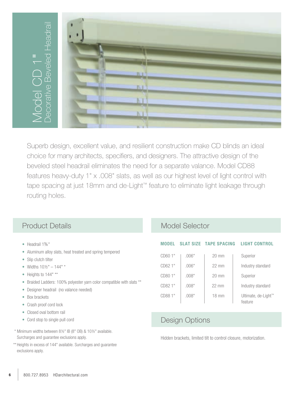

Superb design, excellent value, and resilient construction make CD blinds an ideal choice for many architects, specifiers, and designers. The attractive design of the beveled steel headrail eliminates the need for a separate valance. Model CD88 features heavy-duty 1" x .008" slats, as well as our highest level of light control with tape spacing at just 18mm and de-Light™ feature to eliminate light leakage through routing holes.

### Product Details Model Selector

- Headrail 1%"
- Aluminum alloy slats, heat treated and spring tempered
- Slip clutch tilter
- Widths  $10\frac{1}{2}$ "  $144$ " \*
- Heights to 144" \*\*
- Braided Ladders: 100% polyester yarn color compatible with slats \*\*
- Designer headrail (no valance needed)
- Box brackets
- Crash proof cord lock
- Closed oval bottom rail
- Cord stop to single pull cord
- \* Minimum widths between 8½" IB (8" OB) & 10½" available. Surcharges and guarantee exclusions apply.
- \*\* Heights in excess of 144" available. Surcharges and guarantee exclusions apply.

### **MODEL SLAT SIZE TAPE SPACING LIGHT CONTROL**

| CD60 1" | .006" | $20 \text{ mm}$ | Superior                       |
|---------|-------|-----------------|--------------------------------|
| CD62 1" | .006" | $22 \text{ mm}$ | Industry standard              |
| CD80 1" | .008" | $20 \text{ mm}$ | Superior                       |
| CD82 1" | .008" | $22 \text{ mm}$ | Industry standard              |
| CD88 1" | .008" | $18 \text{ mm}$ | Ultimate, de-Light™<br>feature |

### Design Options

Hidden brackets, limited tilt to control closure, motorization.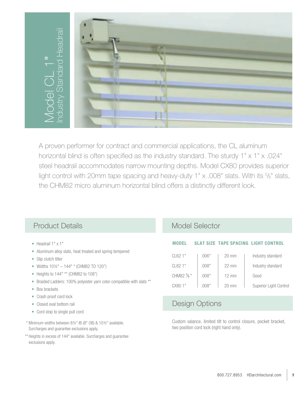

A proven performer for contract and commercial applications, the CL aluminum horizontal blind is often specified as the industry standard. The sturdy 1" x 1" x .024" steel headrail accommodates narrow mounting depths. Model CX80 provides superior light control with 20mm tape spacing and heavy-duty  $1" \times .008"$  slats. With its  $\frac{5}{8}$ " slats, the CHM82 micro aluminum horizontal blind offers a distinctly different look.

### Product Details Model Selector

- 
- Aluminum alloy slats, heat treated and spring tempered
- Slip clutch tilter
- Widths  $10\frac{1}{2}$ "  $144$ " \* (CHM82 TO 120")
- Heights to 144" \*\* (CHM82 to 108")
- Braided Ladders: 100% polyester yarn color compatible with slats \*\*
- Box brackets
- Crash proof cord lock
- Closed oval bottom rail
- Cord stop to single pull cord
- \* Minimum widths between 8½" IB (8" OB) & 10½" available. Surcharges and guarantee exclusions apply.
- \*\* Heights in excess of 144" available. Surcharges and guarantee exclusions apply.

### • Headrail 1" x 1" **MODEL SLAT SIZE TAPE SPACING LIGHT CONTROL**

| CL621"   | .006"        | $20 \text{ mm}$ | Industry standard      |
|----------|--------------|-----------------|------------------------|
| CL82 1"  | .008"        | $22 \text{ mm}$ | Industry standard      |
| CHM82 %" | .008"        | $12 \text{ mm}$ | Good                   |
| CX801"   | <b>MAR</b> " | $20 \text{ mm}$ | Superior Light Control |

### Design Options

Custom valance, limited tilt to control closure, pocket bracket, two position cord lock (right hand only).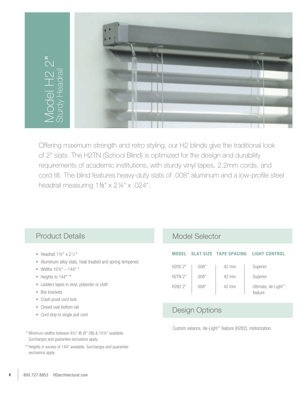

Offering maximum strength and retro styling, our H2 blinds give the traditional look of 2" slats. The H2TN (School Blind) is optimized for the design and durability requirements of academic institutions, with sturdy vinyl tapes, 2.2mm cords, and cord tilt. The blind features heavy-duty slats of .008" aluminum and a low-profile steel headrail measuring  $1\frac{1}{2}$ " x  $2\frac{1}{4}$ " x .024".

- Headrail  $1\frac{1}{2}$ " x  $2\frac{1}{4}$ "
- Aluminum alloy slats, heat treated and spring tempered
- Widths  $10\frac{1}{2}$ "  $144$ " \*
- Heights to 144" \*\*
- Ladders tapes in vinyl, polyester or cloth
- Box brackets
- Crash proof cord lock
- Closed oval bottom rail
- Cord stop to single pull cord

### Product Details Model Selector

| <b>MODEL</b>        |       |                 | SLAT SIZE TAPE SPACING LIGHT CONTROL |
|---------------------|-------|-----------------|--------------------------------------|
| H2002"              | .008" | $42 \text{ mm}$ | Superior                             |
| H2TN2"              | .008" | $42 \text{ mm}$ | Superior                             |
| H <sub>282</sub> 2" | .008" | $42 \text{ mm}$ | Ultimate, de-Light™<br>feature       |

### Design Options

Custom valance, de-Light™ feature (H282), motorization.

- \* Minimum widths between 8½" IB (8" OB) & 10½" available. Surcharges and guarantee exclusions apply.
- \*\* Heights in excess of 144" available. Surcharges and guarantee exclusions apply.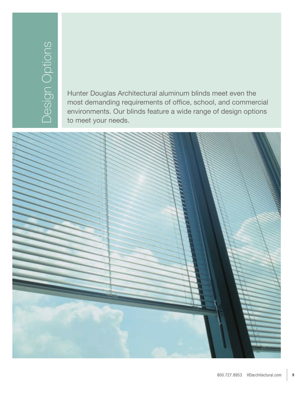Hunter Douglas Architectural aluminum blinds meet even the most demanding requirements of office, school, and commercial environments. Our blinds feature a wide range of design options to meet your needs.

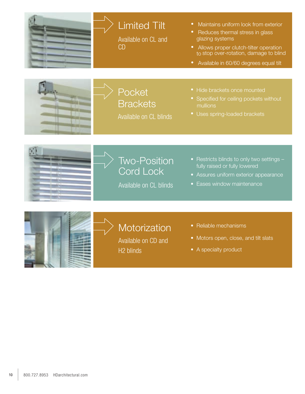

# Limited Tilt

Available on CL and CD

- Maintains uniform look from exterior
- Reduces thermal stress in glass glazing systems
- Allows proper clutch-tilter operation to stop over-rotation, damage to blind
- Available in 60/60 degrees equal tilt



**Pocket Brackets** Available on CL blinds

- Hide brackets once mounted
- Specified for ceiling pockets without mullions
- Uses spring-loaded brackets





Available on CL blinds

- Restricts blinds to only two settings fully raised or fully lowered
- Assures uniform exterior appearance
- Eases window maintenance



# **Motorization**

Available on CD and H2 blinds

- Reliable mechanisms
- Motors open, close, and tilt slats
- A specialty product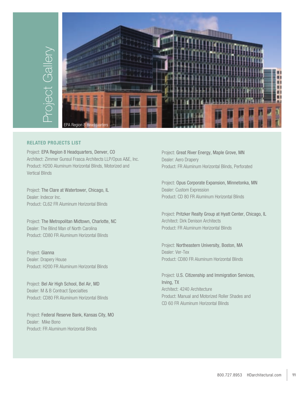

### **related projects**

Project: EPA Region 8 Headquarters, Denver, CO Architect: Zimmer Gunsul Frasca Architects LLP/Opus A&E, Inc. Product: H200 Aluminum Horizontal Blinds, Motorized and Vertical Blinds

Project: The Clare at Watertower, Chicago, IL Dealer: Indecor Inc. Product: CL62 FR Aluminum Horizontal Blinds

Project: The Metropolitan Midtown, Charlotte, NC Dealer: The Blind Man of North Carolina Product: CD80 FR Aluminum Horizontal Blinds

Project: Gianna Dealer: Drapery House Product: H200 FR Aluminum Horizontal Blinds

Project: Bel Air High School, Bel Air, MD Dealer: M & B Contract Specialties Product: CD80 FR Aluminum Horizontal Blinds

Project: Federal Reserve Bank, Kansas City, MO Dealer: Mike Bono Product: FR Aluminum Horizontal Blinds

Project: Great River Energy, Maple Grove, MN Dealer: Aero Drapery Product: FR Aluminum Horizontal Blinds, Perforated

Project: Opus Corporate Expansion, Minnetonka, MN Dealer: Custom Expression Product: CD 80 FR Aluminum Horizontal Blinds

Project: Pritzker Realty Group at Hyatt Center, Chicago, IL Architect: Dirk Denison Architects Product: FR Aluminum Horizontal Blinds

Project: Northeastern University, Boston, MA Dealer: Ver-Tex Product: CD80 FR Aluminum Horizontal Blinds

Project: U.S. Citizenship and Immigration Services, Irving, TX Architect: 4240 Architecture Product: Manual and Motorized Roller Shades and CD 60 FR Aluminum Horizontal Blinds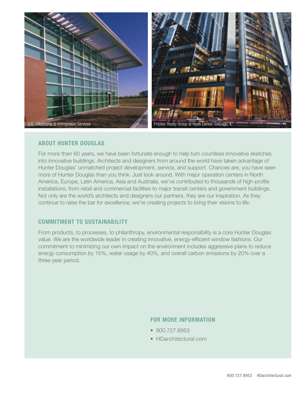

### **AbOUT HUNTER DOUGLAS**

for more than 60 years, we have been fortunate enough to help turn countless innovative sketches into innovative buildings. Architects and designers from around the world have taken advantage of Hunter Douglas' unmatched project development, service, and support. Chances are, you have seen more of Hunter Douglas than you think. Just look around. With major operation centers in North America, Europe, latin America, Asia and Australia, we've contributed to thousands of high-profile installations, from retail and commercial facilities to major transit centers and government buildings. Not only are the world's architects and designers our partners, they are our inspiration. As they continue to raise the bar for excellence, we're creating projects to bring their visions to life.

### **COMMITMENT TO SUSTAINAbILITY**

From products, to processes, to philanthropy, environmental responsibility is a core Hunter Douglas value. We are the worldwide leader in creating innovative, energy-efficient window fashions. our commitment to minimizing our own impact on the environment includes aggressive plans to reduce energy consumption by 15%, water usage by 40%, and overall carbon emissions by 20% over a three-year period.

### **FOR MORE INFORMATION**

- 800.727.8953
- HDarchitectural.com